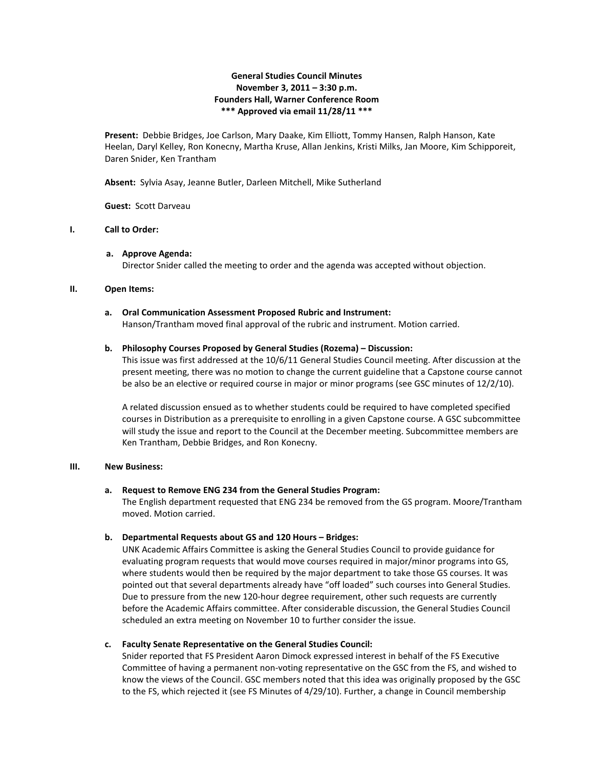## **General Studies Council Minutes November 3, 2011 – 3:30 p.m. Founders Hall, Warner Conference Room \*\*\* Approved via email 11/28/11 \*\*\***

**Present:** Debbie Bridges, Joe Carlson, Mary Daake, Kim Elliott, Tommy Hansen, Ralph Hanson, Kate Heelan, Daryl Kelley, Ron Konecny, Martha Kruse, Allan Jenkins, Kristi Milks, Jan Moore, Kim Schipporeit, Daren Snider, Ken Trantham

**Absent:** Sylvia Asay, Jeanne Butler, Darleen Mitchell, Mike Sutherland

**Guest:** Scott Darveau

# **I. Call to Order:**

#### **a. Approve Agenda:**

Director Snider called the meeting to order and the agenda was accepted without objection.

#### **II. Open Items:**

#### **a. Oral Communication Assessment Proposed Rubric and Instrument:** Hanson/Trantham moved final approval of the rubric and instrument. Motion carried.

#### **b. Philosophy Courses Proposed by General Studies (Rozema) – Discussion:**

This issue was first addressed at the 10/6/11 General Studies Council meeting. After discussion at the present meeting, there was no motion to change the current guideline that a Capstone course cannot be also be an elective or required course in major or minor programs (see GSC minutes of 12/2/10).

A related discussion ensued as to whether students could be required to have completed specified courses in Distribution as a prerequisite to enrolling in a given Capstone course. A GSC subcommittee will study the issue and report to the Council at the December meeting. Subcommittee members are Ken Trantham, Debbie Bridges, and Ron Konecny.

#### **III. New Business:**

#### **a. Request to Remove ENG 234 from the General Studies Program:**

The English department requested that ENG 234 be removed from the GS program. Moore/Trantham moved. Motion carried.

#### **b. Departmental Requests about GS and 120 Hours – Bridges:**

UNK Academic Affairs Committee is asking the General Studies Council to provide guidance for evaluating program requests that would move courses required in major/minor programs into GS, where students would then be required by the major department to take those GS courses. It was pointed out that several departments already have "off loaded" such courses into General Studies. Due to pressure from the new 120-hour degree requirement, other such requests are currently before the Academic Affairs committee. After considerable discussion, the General Studies Council scheduled an extra meeting on November 10 to further consider the issue.

#### **c. Faculty Senate Representative on the General Studies Council:**

Snider reported that FS President Aaron Dimock expressed interest in behalf of the FS Executive Committee of having a permanent non-voting representative on the GSC from the FS, and wished to know the views of the Council. GSC members noted that this idea was originally proposed by the GSC to the FS, which rejected it (see FS Minutes of 4/29/10). Further, a change in Council membership